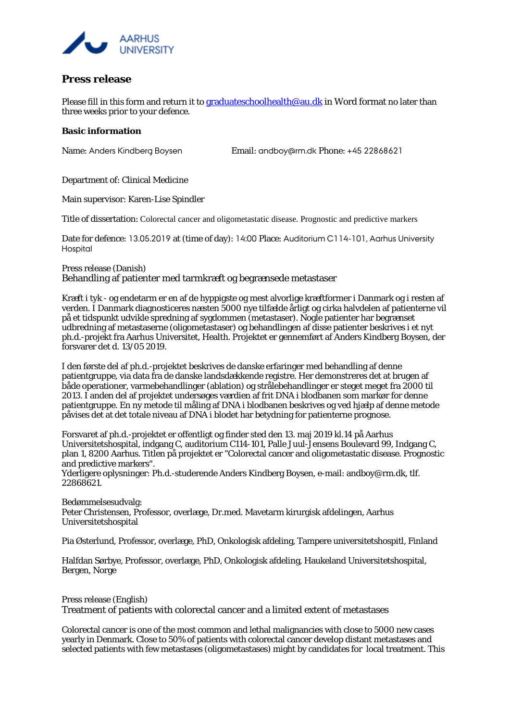

## **Press release**

Please fill in this form and return it t[o graduateschoolhealth@au.dk](mailto:graduateschoolhealth@au.dk) in Word format no later than three weeks prior to your defence.

## **Basic information**

Name: Anders Kindberg Boysen Email: andboy@rm.dk Phone: +45 22868621

Department of: Clinical Medicine

Main supervisor: Karen-Lise Spindler

Title of dissertation: Colorectal cancer and oligometastatic disease. Prognostic and predictive markers

Date for defence: 13.05.2019 at (time of day): 14:00 Place: Auditorium C114-101, Aarhus University **Hospital** 

Press release (Danish) Behandling af patienter med tarmkræft og begrænsede metastaser

Kræft i tyk - og endetarm er en af de hyppigste og mest alvorlige kræftformer i Danmark og i resten af verden. I Danmark diagnosticeres næsten 5000 nye tilfælde årligt og cirka halvdelen af patienterne vil på et tidspunkt udvikle spredning af sygdommen (metastaser). Nogle patienter har begrænset udbredning af metastaserne (oligometastaser) og behandlingen af disse patienter beskrives i et nyt ph.d.-projekt fra Aarhus Universitet, Health. Projektet er gennemført af Anders Kindberg Boysen, der forsvarer det d. 13/05 2019.

I den første del af ph.d.-projektet beskrives de danske erfaringer med behandling af denne patientgruppe, via data fra de danske landsdækkende registre. Her demonstreres det at brugen af både operationer, varmebehandlinger (ablation) og strålebehandlinger er steget meget fra 2000 til 2013. I anden del af projektet undersøges værdien af frit DNA i blodbanen som markør for denne patientgruppe. En ny metode til måling af DNA i blodbanen beskrives og ved hjælp af denne metode påvises det at det totale niveau af DNA i blodet har betydning for patienterne prognose.

Forsvaret af ph.d.-projektet er offentligt og finder sted den 13. maj 2019 kl.14 på Aarhus Universitetshospital, indgang C, auditorium C114-101, Palle Juul-Jensens Boulevard 99, Indgang C, plan 1, 8200 Aarhus. Titlen på projektet er "Colorectal cancer and oligometastatic disease. Prognostic and predictive markers".

Yderligere oplysninger: Ph.d.-studerende Anders Kindberg Boysen, e-mail: andboy@rm.dk, tlf. 22868621.

Bedømmelsesudvalg:

Peter Christensen, Professor, overlæge, Dr.med. Mavetarm kirurgisk afdelingen, Aarhus Universitetshospital

Pia Østerlund, Professor, overlæge, PhD, Onkologisk afdeling, Tampere universitetshospitl, Finland

Halfdan Sørbye, Professor, overlæge, PhD, Onkologisk afdeling, Haukeland Universitetshospital, Bergen, Norge

Press release (English) Treatment of patients with colorectal cancer and a limited extent of metastases

Colorectal cancer is one of the most common and lethal malignancies with close to 5000 new cases yearly in Denmark. Close to 50% of patients with colorectal cancer develop distant metastases and selected patients with few metastases (oligometastases) might by candidates for local treatment. This